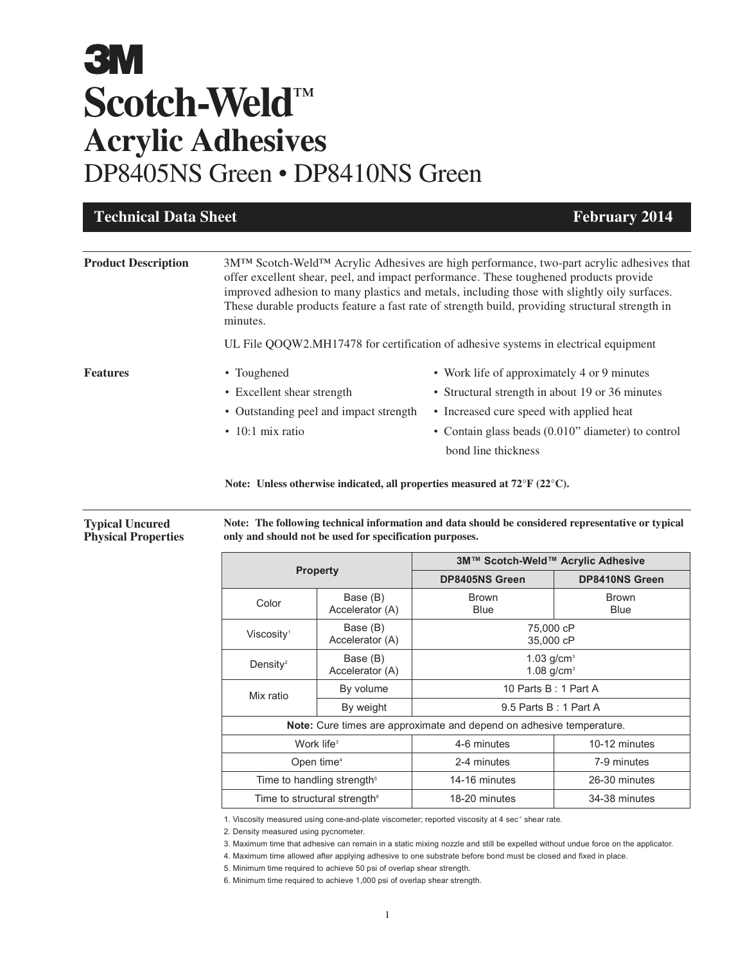| <b>Technical Data Sheet</b>                                                                                                      |          | <b>February 2014</b>                                                                                                                                                                                                                                                                                                                                                                                         |  |
|----------------------------------------------------------------------------------------------------------------------------------|----------|--------------------------------------------------------------------------------------------------------------------------------------------------------------------------------------------------------------------------------------------------------------------------------------------------------------------------------------------------------------------------------------------------------------|--|
| <b>Product Description</b>                                                                                                       | minutes. | 3M <sup>TM</sup> Scotch-Weld <sup>TM</sup> Acrylic Adhesives are high performance, two-part acrylic adhesives that<br>offer excellent shear, peel, and impact performance. These toughened products provide<br>improved adhesion to many plastics and metals, including those with slightly oily surfaces.<br>These durable products feature a fast rate of strength build, providing structural strength in |  |
|                                                                                                                                  |          | UL File QOQW2.MH17478 for certification of adhesive systems in electrical equipment                                                                                                                                                                                                                                                                                                                          |  |
| <b>Features</b><br>• Toughened<br>• Excellent shear strength<br>• Outstanding peel and impact strength<br>$\cdot$ 10:1 mix ratio |          | • Work life of approximately 4 or 9 minutes<br>• Structural strength in about 19 or 36 minutes<br>• Increased cure speed with applied heat<br>• Contain glass beads (0.010" diameter) to control<br>bond line thickness                                                                                                                                                                                      |  |

**Note: Unless otherwise indicated, all properties measured at 72°F (22°C).**

**Note: The following technical information and data should be considered representative or typical only and should not be used for specification purposes.**

| <b>Property</b>                          |                             | 3M™ Scotch-Weld™ Acrylic Adhesive                                    |                             |
|------------------------------------------|-----------------------------|----------------------------------------------------------------------|-----------------------------|
|                                          |                             | <b>DP8405NS Green</b>                                                | <b>DP8410NS Green</b>       |
| Color                                    | Base (B)<br>Accelerator (A) | <b>Brown</b><br>Blue                                                 | <b>Brown</b><br><b>Blue</b> |
| Viscosity <sup>1</sup>                   | Base (B)<br>Accelerator (A) | 75,000 cP<br>35,000 cP                                               |                             |
| Density <sup>2</sup>                     | Base (B)<br>Accelerator (A) | 1.03 $q/cm3$<br>$1.08$ g/cm <sup>3</sup>                             |                             |
| Mix ratio                                | By volume                   | 10 Parts B: 1 Part A                                                 |                             |
|                                          | By weight                   | 9.5 Parts B: 1 Part A                                                |                             |
|                                          |                             | Note: Cure times are approximate and depend on adhesive temperature. |                             |
| Work life $3$                            |                             | 4-6 minutes                                                          | 10-12 minutes               |
| Open time <sup>4</sup>                   |                             | 2-4 minutes                                                          | 7-9 minutes                 |
| Time to handling strength <sup>5</sup>   |                             | 14-16 minutes                                                        | 26-30 minutes               |
| Time to structural strength <sup>®</sup> |                             | 18-20 minutes                                                        | 34-38 minutes               |

1. Viscosity measured using cone-and-plate viscometer; reported viscosity at 4 sec<sup>-1</sup> shear rate.

2. Density measured using pycnometer.

3. Maximum time that adhesive can remain in a static mixing nozzle and still be expelled without undue force on the applicator.

4. Maximum time allowed after applying adhesive to one substrate before bond must be closed and fixed in place.

5. Minimum time required to achieve 50 psi of overlap shear strength.

6. Minimum time required to achieve 1,000 psi of overlap shear strength.

**Typical Uncured Physical Properties**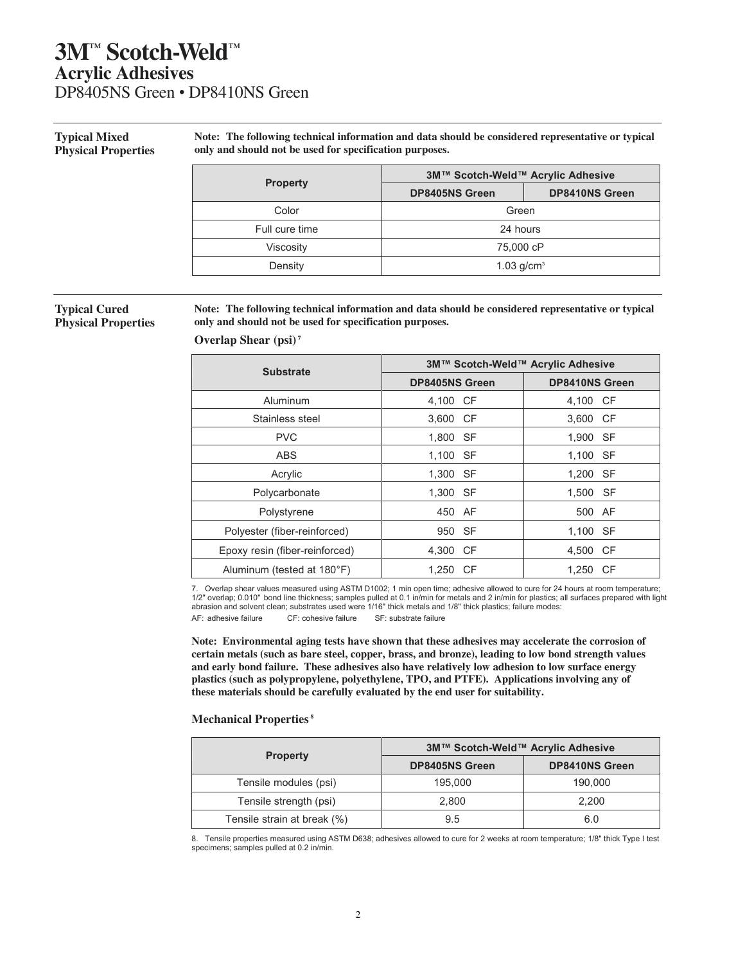### **Typical Mixed Physical Properties**

**Note: The following technical information and data should be considered representative or typical only and should not be used for specification purposes.**

|                  | 3M™ Scotch-Weld™ Acrylic Adhesive |                       |
|------------------|-----------------------------------|-----------------------|
| <b>Property</b>  | <b>DP8405NS Green</b>             | <b>DP8410NS Green</b> |
| Color            | Green                             |                       |
| Full cure time   | 24 hours                          |                       |
| <b>Viscosity</b> | 75,000 cP                         |                       |
| Density          | 1.03 $q/cm^{3}$                   |                       |

### **Typical Cured Physical Properties**

**Note: The following technical information and data should be considered representative or typical only and should not be used for specification purposes.**

| <b>Substrate</b>               | 3M™ Scotch-Weld™ Acrylic Adhesive |                       |  |
|--------------------------------|-----------------------------------|-----------------------|--|
|                                | <b>DP8405NS Green</b>             | <b>DP8410NS Green</b> |  |
| Aluminum                       | 4,100 CF                          | 4,100 CF              |  |
| Stainless steel                | 3.600 CF                          | 3,600 CF              |  |
| <b>PVC</b>                     | - SF<br>1,800                     | 1,900 SF              |  |
| <b>ABS</b>                     | 1.100<br>- SF                     | 1.100 SF              |  |
| Acrylic                        | 1,300<br><b>SF</b>                | 1,200 SF              |  |
| Polycarbonate                  | 1,300<br>SF                       | 1,500 SF              |  |
| Polystyrene                    | 450 AF                            | 500 AF                |  |
| Polyester (fiber-reinforced)   | - SF<br>950                       | 1,100 SF              |  |
| Epoxy resin (fiber-reinforced) | 4,300 CF                          | 4,500 CF              |  |
| Aluminum (tested at 180°F)     | 1.250<br>- CF                     | 1.250 CF              |  |

7. Overlap shear values measured using ASTM D1002; 1 min open time; adhesive allowed to cure for 24 hours at room temperature; 1/2" overlap; 0.010" bond line thickness; samples pulled at 0.1 in/min for metals and 2 in/min for plastics; all surfaces prepared with light abrasion and solvent clean; substrates used were 1/16" thick metals and 1/8" thick plastics; failure modes: AF: adhesive failure CF: cohesive failure SF: substrate failure

**Note: Environmental aging tests have shown that these adhesives may accelerate the corrosion of certain metals (such as bare steel, copper, brass, and bronze), leading to low bond strength values and early bond failure. These adhesives also have relatively low adhesion to low surface energy plastics (such as polypropylene, polyethylene, TPO, and PTFE). Applications involving any of these materials should be carefully evaluated by the end user for suitability.** 

### **Mechanical Properties<sup>8</sup>**

**Overlap Shear (psi)<sup>7</sup>**

|                             | 3M™ Scotch-Weld™ Acrylic Adhesive |                       |
|-----------------------------|-----------------------------------|-----------------------|
| <b>Property</b>             | <b>DP8405NS Green</b>             | <b>DP8410NS Green</b> |
| Tensile modules (psi)       | 195,000                           | 190.000               |
| Tensile strength (psi)      | 2.800                             | 2.200                 |
| Tensile strain at break (%) | 9.5                               | 6.0                   |

8. Tensile properties measured using ASTM D638; adhesives allowed to cure for 2 weeks at room temperature; 1/8" thick Type I test specimens; samples pulled at 0.2 in/min.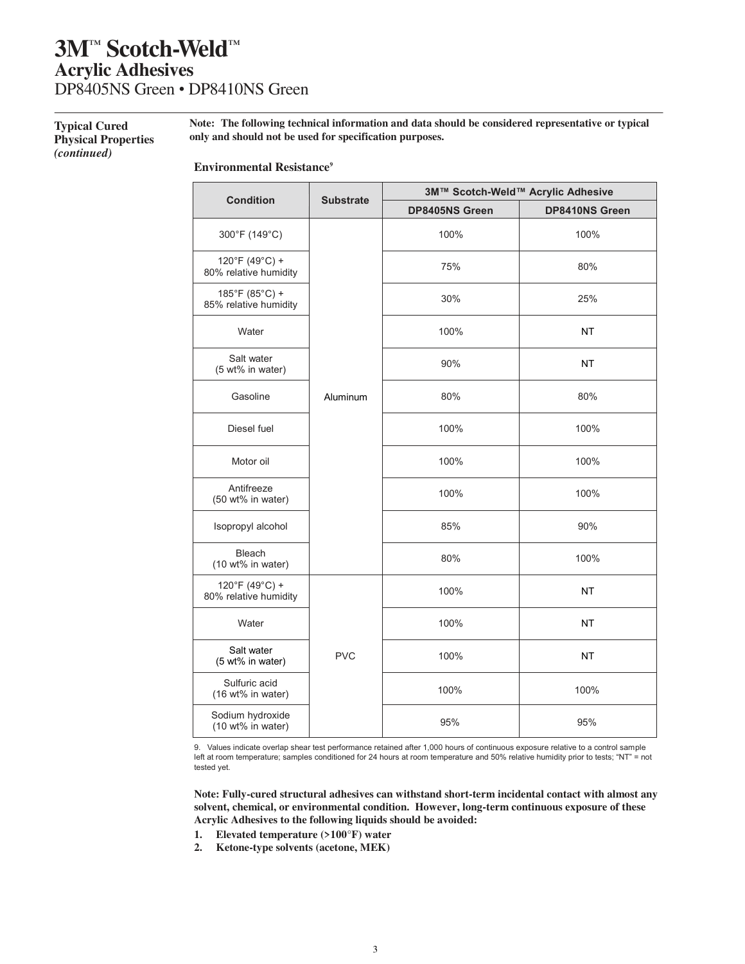### **Typical Cured Physical Properties**  *(continued)*

 **Note: The following technical information and data should be considered representative or typical only and should not be used for specification purposes.**

**Environmental Resistance<sup>9</sup>**

| <b>Condition</b>                        | <b>Substrate</b> | 3M™ Scotch-Weld™ Acrylic Adhesive |                |
|-----------------------------------------|------------------|-----------------------------------|----------------|
|                                         |                  | DP8405NS Green                    | DP8410NS Green |
| 300°F (149°C)                           |                  | 100%                              | 100%           |
| 120°F (49°C) +<br>80% relative humidity |                  | 75%                               | 80%            |
| 185°F (85°C) +<br>85% relative humidity |                  | 30%                               | 25%            |
| Water                                   |                  | 100%                              | <b>NT</b>      |
| Salt water<br>(5 wt% in water)          |                  | 90%                               | <b>NT</b>      |
| Gasoline                                | Aluminum         | 80%                               | 80%            |
| Diesel fuel                             |                  | 100%                              | 100%           |
| Motor oil                               |                  | 100%                              | 100%           |
| Antifreeze<br>(50 wt% in water)         |                  | 100%                              | 100%           |
| Isopropyl alcohol                       |                  | 85%                               | 90%            |
| <b>Bleach</b><br>(10 wt% in water)      |                  | 80%                               | 100%           |
| 120°F (49°C) +<br>80% relative humidity |                  | 100%                              | <b>NT</b>      |
| Water                                   |                  | 100%                              | <b>NT</b>      |
| Salt water<br>(5 wt% in water)          | <b>PVC</b>       | 100%                              | <b>NT</b>      |
| Sulfuric acid<br>(16 wt% in water)      |                  | 100%                              | 100%           |
| Sodium hydroxide<br>(10 wt% in water)   |                  | 95%                               | 95%            |

9. Values indicate overlap shear test performance retained after 1,000 hours of continuous exposure relative to a control sample left at room temperature; samples conditioned for 24 hours at room temperature and 50% relative humidity prior to tests; "NT" = not tested yet.

**Note: Fully-cured structural adhesives can withstand short-term incidental contact with almost any solvent, chemical, or environmental condition. However, long-term continuous exposure of these Acrylic Adhesives to the following liquids should be avoided:** 

- **1. Elevated temperature (>100°F) water**
- **2. Ketone-type solvents (acetone, MEK)**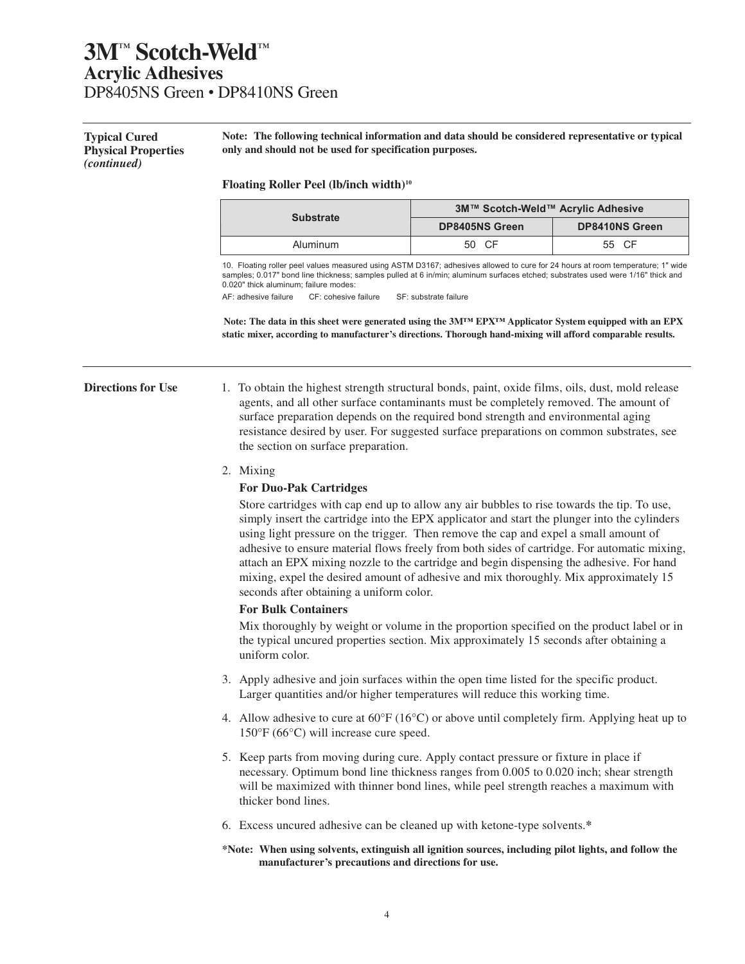**Typical Cured Physical Properties**  *(continued)*

**Note: The following technical information and data should be considered representative or typical only and should not be used for specification purposes.** 

#### **Floating Roller Peel (lb/inch width)<sup>10</sup>**

| <b>Substrate</b> | 3M™ Scotch-Weld™ Acrylic Adhesive |                       |
|------------------|-----------------------------------|-----------------------|
|                  | <b>DP8405NS Green</b>             | <b>DP8410NS Green</b> |
| Aluminum         | 50 CF                             | 55 CF                 |

10. Floating roller peel values measured using ASTM D3167; adhesives allowed to cure for 24 hours at room temperature; 1" wide samples; 0.017" bond line thickness; samples pulled at 6 in/min; aluminum surfaces etched; substrates used were 1/16" thick and 0.020" thick aluminum; failure modes:

AF: adhesive failure CF: cohesive failure SF: substrate failure

**Note: The data in this sheet were generated using the 3M™ EPX™ Applicator System equipped with an EPX static mixer, according to manufacturer's directions. Thorough hand-mixing will afford comparable results.**

**Directions for Use** 1. To obtain the highest strength structural bonds, paint, oxide films, oils, dust, mold release agents, and all other surface contaminants must be completely removed. The amount of surface preparation depends on the required bond strength and environmental aging resistance desired by user. For suggested surface preparations on common substrates, see the section on surface preparation.

2. Mixing

### **For Duo-Pak Cartridges**

Store cartridges with cap end up to allow any air bubbles to rise towards the tip. To use, simply insert the cartridge into the EPX applicator and start the plunger into the cylinders using light pressure on the trigger. Then remove the cap and expel a small amount of adhesive to ensure material flows freely from both sides of cartridge. For automatic mixing, attach an EPX mixing nozzle to the cartridge and begin dispensing the adhesive. For hand mixing, expel the desired amount of adhesive and mix thoroughly. Mix approximately 15 seconds after obtaining a uniform color.

### **For Bulk Containers**

Mix thoroughly by weight or volume in the proportion specified on the product label or in the typical uncured properties section. Mix approximately 15 seconds after obtaining a uniform color.

- 3. Apply adhesive and join surfaces within the open time listed for the specific product. Larger quantities and/or higher temperatures will reduce this working time.
- 4. Allow adhesive to cure at  $60^{\circ}F (16^{\circ}C)$  or above until completely firm. Applying heat up to 150°F (66°C) will increase cure speed.
- 5. Keep parts from moving during cure. Apply contact pressure or fixture in place if necessary. Optimum bond line thickness ranges from 0.005 to 0.020 inch; shear strength will be maximized with thinner bond lines, while peel strength reaches a maximum with thicker bond lines.
- 6. Excess uncured adhesive can be cleaned up with ketone-type solvents.**\***
- **\*Note: When using solvents, extinguish all ignition sources, including pilot lights, and follow the manufacturer's precautions and directions for use.**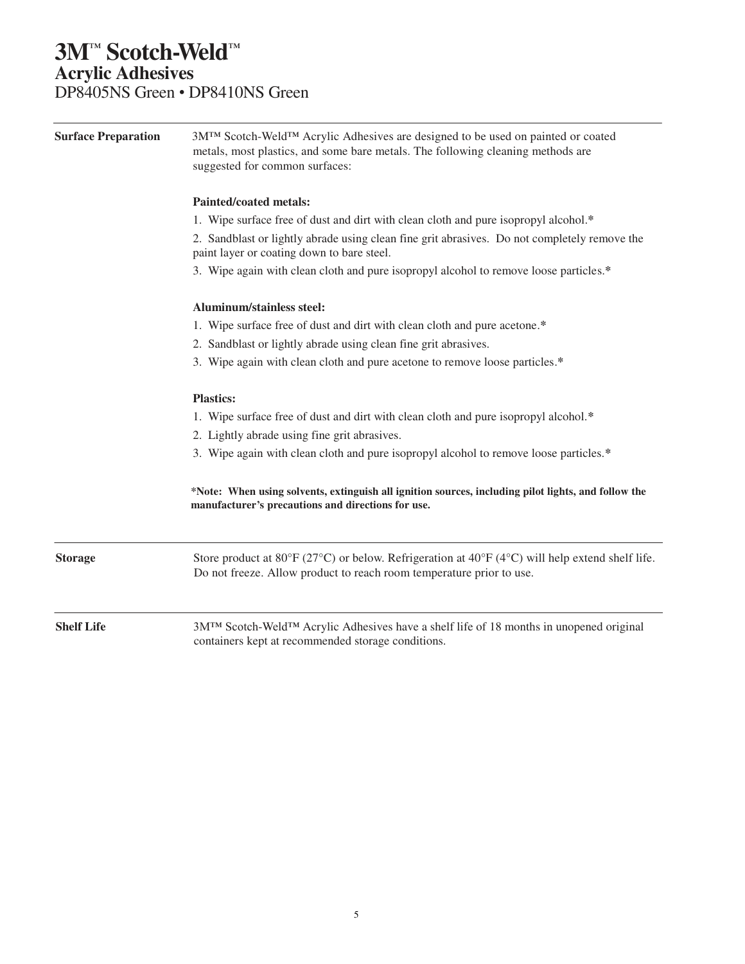| <b>Surface Preparation</b> | 3M <sup>TM</sup> Scotch-Weld <sup>TM</sup> Acrylic Adhesives are designed to be used on painted or coated<br>metals, most plastics, and some bare metals. The following cleaning methods are<br>suggested for common surfaces: |  |  |  |
|----------------------------|--------------------------------------------------------------------------------------------------------------------------------------------------------------------------------------------------------------------------------|--|--|--|
|                            | <b>Painted/coated metals:</b>                                                                                                                                                                                                  |  |  |  |
|                            | 1. Wipe surface free of dust and dirt with clean cloth and pure isopropyl alcohol.*                                                                                                                                            |  |  |  |
|                            | 2. Sandblast or lightly abrade using clean fine grit abrasives. Do not completely remove the<br>paint layer or coating down to bare steel.                                                                                     |  |  |  |
|                            | 3. Wipe again with clean cloth and pure isopropyl alcohol to remove loose particles.*                                                                                                                                          |  |  |  |
|                            | Aluminum/stainless steel:                                                                                                                                                                                                      |  |  |  |
|                            | 1. Wipe surface free of dust and dirt with clean cloth and pure acetone.*                                                                                                                                                      |  |  |  |
|                            | 2. Sandblast or lightly abrade using clean fine grit abrasives.                                                                                                                                                                |  |  |  |
|                            | 3. Wipe again with clean cloth and pure acetone to remove loose particles.*                                                                                                                                                    |  |  |  |
|                            | <b>Plastics:</b>                                                                                                                                                                                                               |  |  |  |
|                            | 1. Wipe surface free of dust and dirt with clean cloth and pure isopropyl alcohol.*                                                                                                                                            |  |  |  |
|                            | 2. Lightly abrade using fine grit abrasives.<br>3. Wipe again with clean cloth and pure isopropyl alcohol to remove loose particles.*                                                                                          |  |  |  |
|                            |                                                                                                                                                                                                                                |  |  |  |
|                            | *Note: When using solvents, extinguish all ignition sources, including pilot lights, and follow the<br>manufacturer's precautions and directions for use.                                                                      |  |  |  |
| <b>Storage</b>             | Store product at 80°F (27°C) or below. Refrigeration at 40°F (4°C) will help extend shelf life.<br>Do not freeze. Allow product to reach room temperature prior to use.                                                        |  |  |  |
|                            |                                                                                                                                                                                                                                |  |  |  |
| <b>Shelf Life</b>          | 3M™ Scotch-Weld™ Acrylic Adhesives have a shelf life of 18 months in unopened original<br>containers kept at recommended storage conditions.                                                                                   |  |  |  |